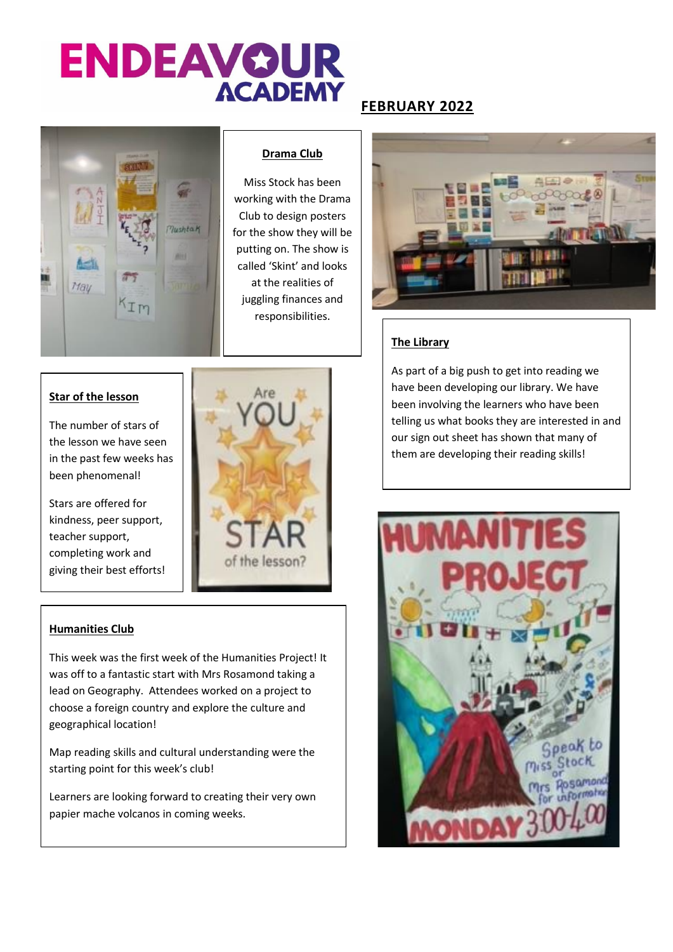# **ENDEAVOUR ACADEMY**

### **FEBRUARY 2022**



#### **Drama Club**

Miss Stock has been working with the Drama Club to design posters for the show they will be putting on. The show is called 'Skint' and looks at the realities of juggling finances and responsibilities.



#### **The Library**

**Star of the lesson**

The number of stars of the lesson we have seen in the past few weeks has been phenomenal!

Stars are offered for kindness, peer support, teacher support, completing work and giving their best efforts!



#### **Humanities Club**

This week was the first week of the Humanities Project! It was off to a fantastic start with Mrs Rosamond taking a lead on Geography. Attendees worked on a project to choose a foreign country and explore the culture and geographical location!

Map reading skills and cultural understanding were the starting point for this week's club!

Learners are looking forward to creating their very own papier mache volcanos in coming weeks.

As part of a big push to get into reading we have been developing our library. We have been involving the learners who have been telling us what books they are interested in and our sign out sheet has shown that many of them are developing their reading skills!

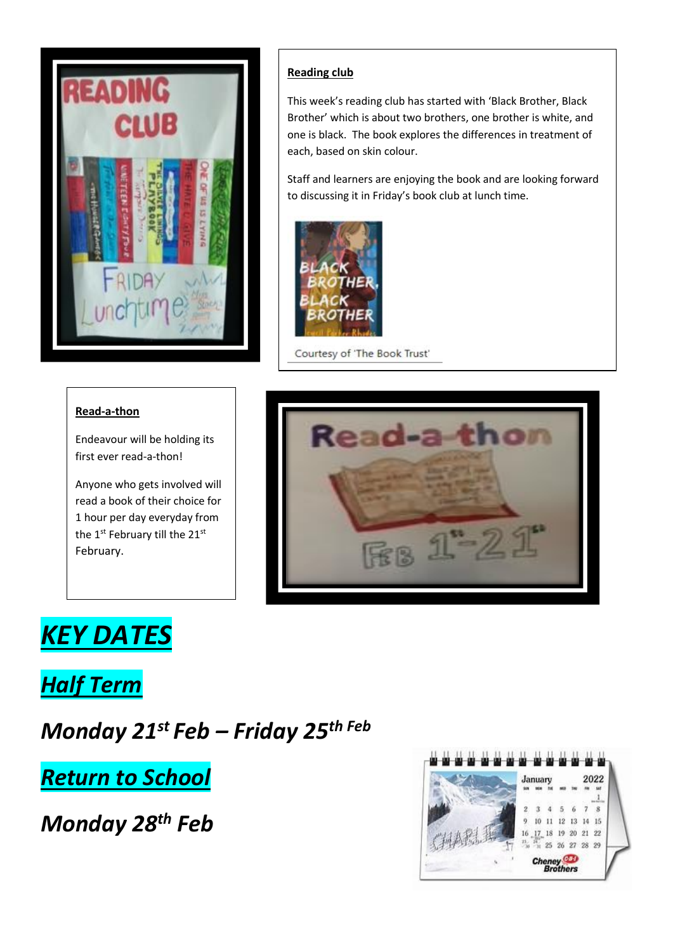

#### **Reading club**

This week's reading club has started with 'Black Brother, Black Brother' which is about two brothers, one brother is white, and one is black. The book explores the differences in treatment of each, based on skin colour.

Staff and learners are enjoying the book and are looking forward to discussing it in Friday's book club at lunch time.



Courtesy of 'The Book Trust'

#### **Read-a-thon**

Endeavour will be holding its first ever read-a-thon!

Anyone who gets involved will read a book of their choice for 1 hour per day everyday from the 1<sup>st</sup> February till the 21<sup>st</sup> February.



## *KEY DATES*

*Half Term*

*Monday 21st Feb – Friday 25th Feb*

*Return to School*

*Monday 28th Feb* 

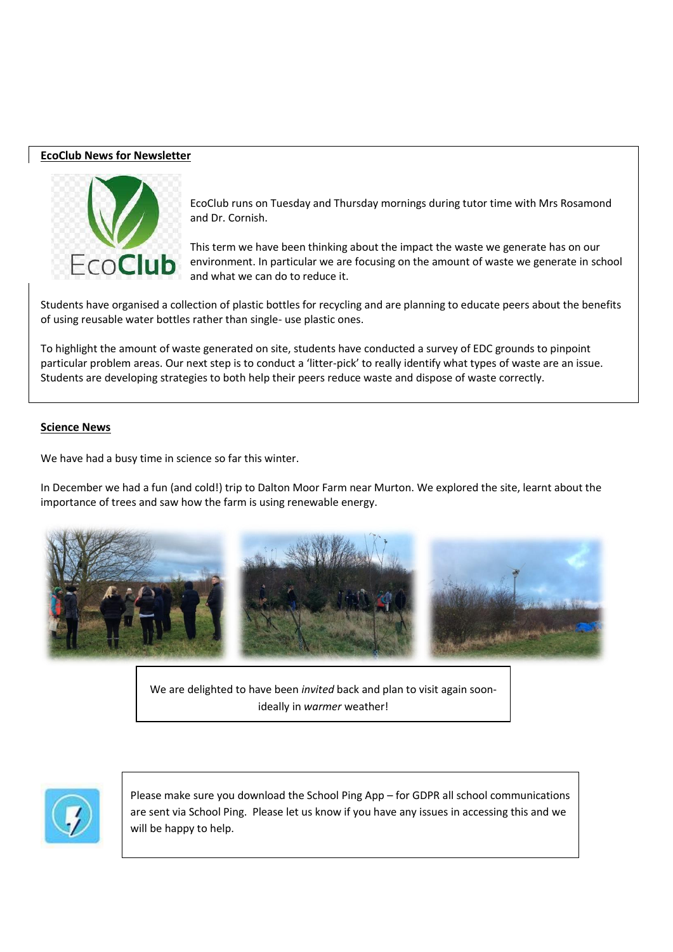#### **EcoClub News for Newsletter**



EcoClub runs on Tuesday and Thursday mornings during tutor time with Mrs Rosamond and Dr. Cornish.

This term we have been thinking about the impact the waste we generate has on our environment. In particular we are focusing on the amount of waste we generate in school and what we can do to reduce it.

Students have organised a collection of plastic bottles for recycling and are planning to educate peers about the benefits of using reusable water bottles rather than single- use plastic ones.

To highlight the amount of waste generated on site, students have conducted a survey of EDC grounds to pinpoint particular problem areas. Our next step is to conduct a 'litter-pick' to really identify what types of waste are an issue. Students are developing strategies to both help their peers reduce waste and dispose of waste correctly.

#### **Science News**

We have had a busy time in science so far this winter.

In December we had a fun (and cold!) trip to Dalton Moor Farm near Murton. We explored the site, learnt about the importance of trees and saw how the farm is using renewable energy.



We are delighted to have been *invited* back and plan to visit again soonideally in *warmer* weather!



Please make sure you download the School Ping App – for GDPR all school communications are sent via School Ping. Please let us know if you have any issues in accessing this and we will be happy to help.